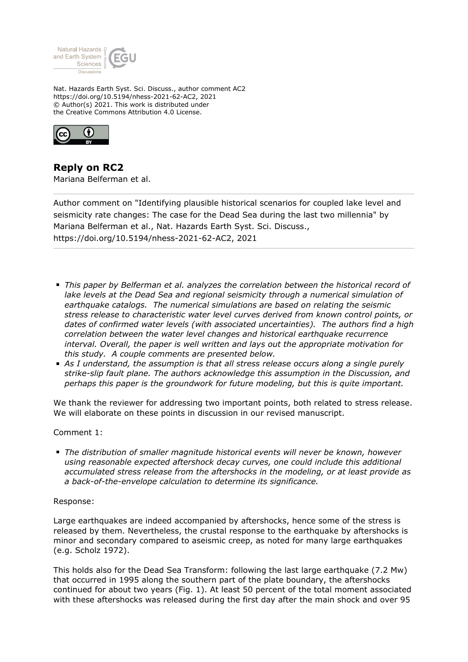

Nat. Hazards Earth Syst. Sci. Discuss., author comment AC2 https://doi.org/10.5194/nhess-2021-62-AC2, 2021 © Author(s) 2021. This work is distributed under the Creative Commons Attribution 4.0 License.



**Reply on RC2** Mariana Belferman et al.

Author comment on "Identifying plausible historical scenarios for coupled lake level and seismicity rate changes: The case for the Dead Sea during the last two millennia" by Mariana Belferman et al., Nat. Hazards Earth Syst. Sci. Discuss., https://doi.org/10.5194/nhess-2021-62-AC2, 2021

- *This paper by Belferman et al. analyzes the correlation between the historical record of lake levels at the Dead Sea and regional seismicity through a numerical simulation of earthquake catalogs. The numerical simulations are based on relating the seismic stress release to characteristic water level curves derived from known control points, or dates of confirmed water levels (with associated uncertainties). The authors find a high correlation between the water level changes and historical earthquake recurrence interval. Overall, the paper is well written and lays out the appropriate motivation for this study. A couple comments are presented below.*
- *As I understand, the assumption is that all stress release occurs along a single purely strike-slip fault plane. The authors acknowledge this assumption in the Discussion, and perhaps this paper is the groundwork for future modeling, but this is quite important.*

We thank the reviewer for addressing two important points, both related to stress release. We will elaborate on these points in discussion in our revised manuscript.

# Comment 1:

*The distribution of smaller magnitude historical events will never be known, however using reasonable expected aftershock decay curves, one could include this additional accumulated stress release from the aftershocks in the modeling, or at least provide as a back-of-the-envelope calculation to determine its significance.*

# Response:

Large earthquakes are indeed accompanied by aftershocks, hence some of the stress is released by them. Nevertheless, the crustal response to the earthquake by aftershocks is minor and secondary compared to aseismic creep, as noted for many large earthquakes (e.g. Scholz 1972).

This holds also for the Dead Sea Transform: following the last large earthquake (7.2 Mw) that occurred in 1995 along the southern part of the plate boundary, the aftershocks continued for about two years (Fig. 1). At least 50 percent of the total moment associated with these aftershocks was released during the first day after the main shock and over 95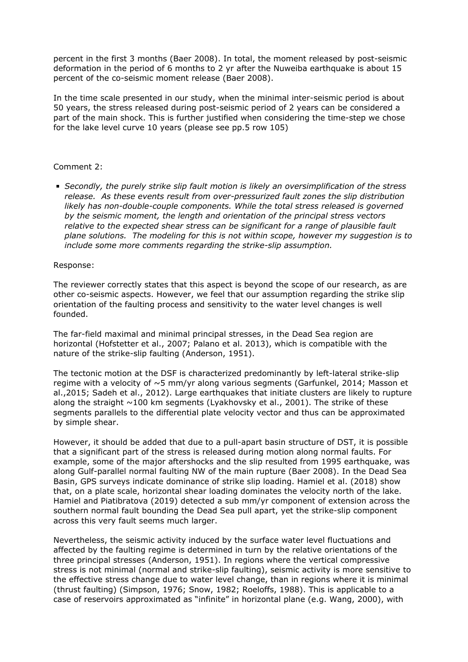percent in the first 3 months (Baer 2008). In total, the moment released by post-seismic deformation in the period of 6 months to 2 yr after the Nuweiba earthquake is about 15 percent of the co-seismic moment release (Baer 2008).

In the time scale presented in our study, when the minimal inter-seismic period is about 50 years, the stress released during post-seismic period of 2 years can be considered a part of the main shock. This is further justified when considering the time-step we chose for the lake level curve 10 years (please see pp.5 row 105)

# Comment 2:

*Secondly, the purely strike slip fault motion is likely an oversimplification of the stress release. As these events result from over-pressurized fault zones the slip distribution likely has non-double-couple components. While the total stress released is governed by the seismic moment, the length and orientation of the principal stress vectors relative to the expected shear stress can be significant for a range of plausible fault plane solutions. The modeling for this is not within scope, however my suggestion is to include some more comments regarding the strike-slip assumption.*

# Response:

The reviewer correctly states that this aspect is beyond the scope of our research, as are other co-seismic aspects. However, we feel that our assumption regarding the strike slip orientation of the faulting process and sensitivity to the water level changes is well founded.

The far-field maximal and minimal principal stresses, in the Dead Sea region are horizontal (Hofstetter et al., 2007; Palano et al. 2013), which is compatible with the nature of the strike-slip faulting (Anderson, 1951).

The tectonic motion at the DSF is characterized predominantly by left-lateral strike-slip regime with a velocity of  $\sim$ 5 mm/yr along various segments (Garfunkel, 2014; Masson et al.,2015; Sadeh et al., 2012). Large earthquakes that initiate clusters are likely to rupture along the straight  $\sim$ 100 km segments (Lyakhovsky et al., 2001). The strike of these segments parallels to the differential plate velocity vector and thus can be approximated by simple shear.

However, it should be added that due to a pull-apart basin structure of DST, it is possible that a significant part of the stress is released during motion along normal faults. For example, some of the major aftershocks and the slip resulted from 1995 earthquake, was along Gulf-parallel normal faulting NW of the main rupture (Baer 2008). In the Dead Sea Basin, GPS surveys indicate dominance of strike slip loading. Hamiel et al. (2018) show that, on a plate scale, horizontal shear loading dominates the velocity north of the lake. Hamiel and Piatibratova (2019) detected a sub mm/yr component of extension across the southern normal fault bounding the Dead Sea pull apart, yet the strike-slip component across this very fault seems much larger.

Nevertheless, the seismic activity induced by the surface water level fluctuations and affected by the faulting regime is determined in turn by the relative orientations of the three principal stresses (Anderson, 1951). In regions where the vertical compressive stress is not minimal (normal and strike-slip faulting), seismic activity is more sensitive to the effective stress change due to water level change, than in regions where it is minimal (thrust faulting) (Simpson, 1976; Snow, 1982; Roeloffs, 1988). This is applicable to a case of reservoirs approximated as "infinite" in horizontal plane (e.g. Wang, 2000), with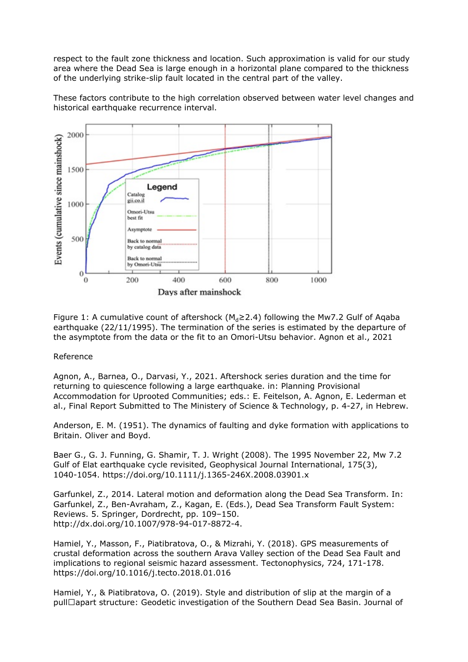respect to the fault zone thickness and location. Such approximation is valid for our study area where the Dead Sea is large enough in a horizontal plane compared to the thickness of the underlying strike-slip fault located in the central part of the valley.

These factors contribute to the high correlation observed between water level changes and historical earthquake recurrence interval.



Figure 1: A cumulative count of aftershock ( $M_d \ge 2.4$ ) following the Mw7.2 Gulf of Aqaba earthquake (22/11/1995). The termination of the series is estimated by the departure of the asymptote from the data or the fit to an Omori-Utsu behavior. Agnon et al., 2021

# Reference

Agnon, A., Barnea, O., Darvasi, Y., 2021. Aftershock series duration and the time for returning to quiescence following a large earthquake. in: Planning Provisional Accommodation for Uprooted Communities; eds.: E. Feitelson, A. Agnon, E. Lederman et al., Final Report Submitted to The Ministery of Science & Technology, p. 4-27, in Hebrew.

Anderson, E. M. (1951). The dynamics of faulting and dyke formation with applications to Britain. Oliver and Boyd.

Baer G., G. J. Funning, G. Shamir, T. J. Wright (2008). The 1995 November 22, Mw 7.2 Gulf of Elat earthquake cycle revisited, Geophysical Journal International, 175(3), 1040-1054. https://doi.org/10.1111/j.1365-246X.2008.03901.x

Garfunkel, Z., 2014. Lateral motion and deformation along the Dead Sea Transform. In: Garfunkel, Z., Ben-Avraham, Z., Kagan, E. (Eds.), Dead Sea Transform Fault System: Reviews. 5. Springer, Dordrecht, pp. 109–150. http://dx.doi.org/10.1007/978-94-017-8872-4.

Hamiel, Y., Masson, F., Piatibratova, O., & Mizrahi, Y. (2018). GPS measurements of crustal deformation across the southern Arava Valley section of the Dead Sea Fault and implications to regional seismic hazard assessment. Tectonophysics, 724, 171-178. https://doi.org/10.1016/j.tecto.2018.01.016

Hamiel, Y., & Piatibratova, O. (2019). Style and distribution of slip at the margin of a pull□apart structure: Geodetic investigation of the Southern Dead Sea Basin. Journal of